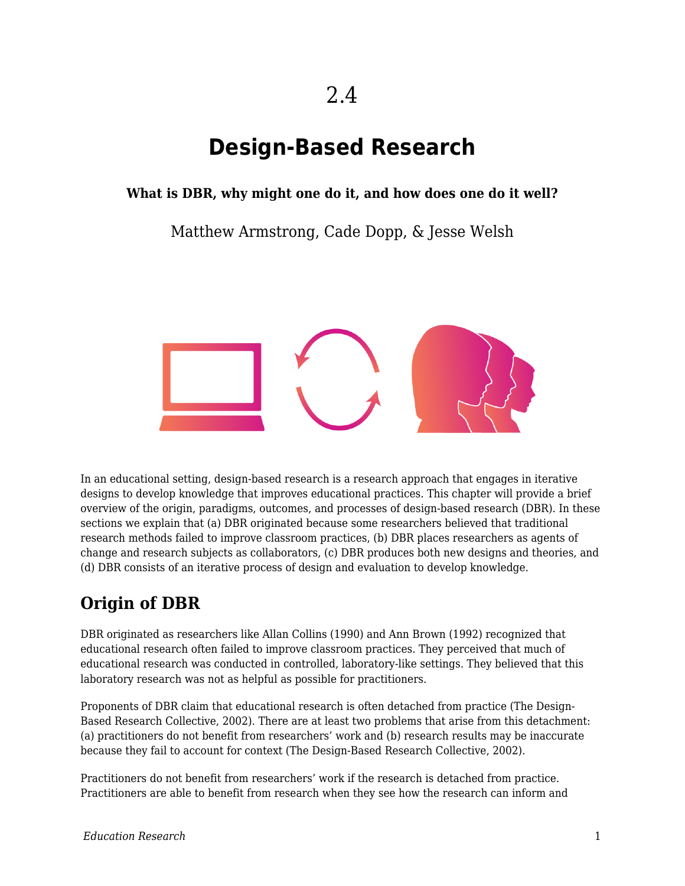# 2.4

# **Design-Based Research**

#### **What is DBR, why might one do it, and how does one do it well?**

Matthew Armstrong, Cade Dopp, & Jesse Welsh



In an educational setting, design-based research is a research approach that engages in iterative designs to develop knowledge that improves educational practices. This chapter will provide a brief overview of the origin, paradigms, outcomes, and processes of design-based research (DBR). In these sections we explain that (a) DBR originated because some researchers believed that traditional research methods failed to improve classroom practices, (b) DBR places researchers as agents of change and research subjects as collaborators, (c) DBR produces both new designs and theories, and (d) DBR consists of an iterative process of design and evaluation to develop knowledge.

# **Origin of DBR**

DBR originated as researchers like Allan Collins (1990) and Ann Brown (1992) recognized that educational research often failed to improve classroom practices. They perceived that much of educational research was conducted in controlled, laboratory-like settings. They believed that this laboratory research was not as helpful as possible for practitioners.

Proponents of DBR claim that educational research is often detached from practice (The Design-Based Research Collective, 2002). There are at least two problems that arise from this detachment: (a) practitioners do not benefit from researchers' work and (b) research results may be inaccurate because they fail to account for context (The Design-Based Research Collective, 2002).

Practitioners do not benefit from researchers' work if the research is detached from practice. Practitioners are able to benefit from research when they see how the research can inform and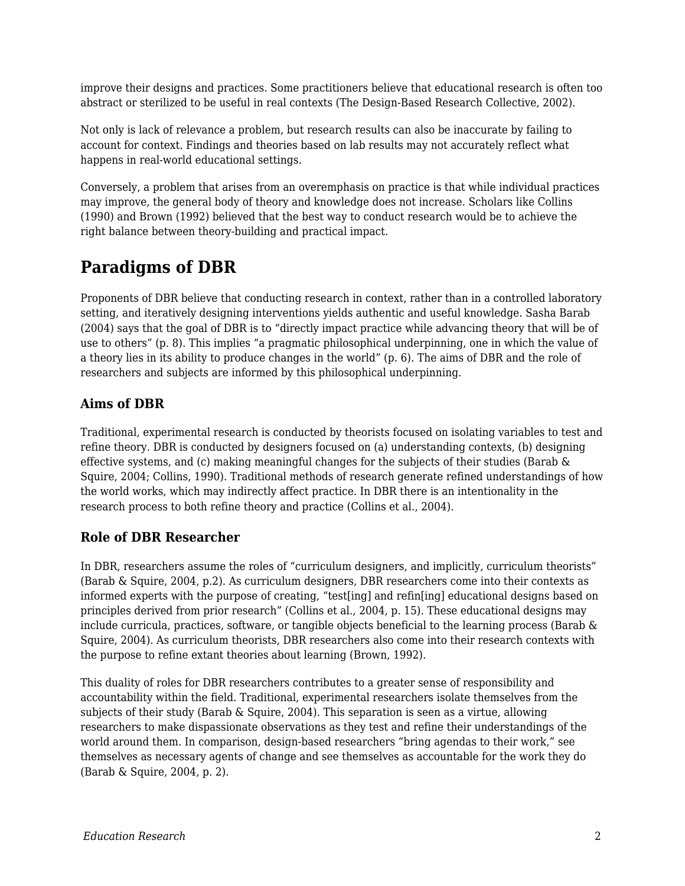improve their designs and practices. Some practitioners believe that educational research is often too abstract or sterilized to be useful in real contexts (The Design-Based Research Collective, 2002).

Not only is lack of relevance a problem, but research results can also be inaccurate by failing to account for context. Findings and theories based on lab results may not accurately reflect what happens in real-world educational settings.

Conversely, a problem that arises from an overemphasis on practice is that while individual practices may improve, the general body of theory and knowledge does not increase. Scholars like Collins (1990) and Brown (1992) believed that the best way to conduct research would be to achieve the right balance between theory-building and practical impact.

# **Paradigms of DBR**

Proponents of DBR believe that conducting research in context, rather than in a controlled laboratory setting, and iteratively designing interventions yields authentic and useful knowledge. Sasha Barab (2004) says that the goal of DBR is to "directly impact practice while advancing theory that will be of use to others" (p. 8). This implies "a pragmatic philosophical underpinning, one in which the value of a theory lies in its ability to produce changes in the world" (p. 6). The aims of DBR and the role of researchers and subjects are informed by this philosophical underpinning.

#### **Aims of DBR**

Traditional, experimental research is conducted by theorists focused on isolating variables to test and refine theory. DBR is conducted by designers focused on (a) understanding contexts, (b) designing effective systems, and (c) making meaningful changes for the subjects of their studies (Barab & Squire, 2004; Collins, 1990). Traditional methods of research generate refined understandings of how the world works, which may indirectly affect practice. In DBR there is an intentionality in the research process to both refine theory and practice (Collins et al., 2004).

#### **Role of DBR Researcher**

In DBR, researchers assume the roles of "curriculum designers, and implicitly, curriculum theorists" (Barab & Squire, 2004, p.2). As curriculum designers, DBR researchers come into their contexts as informed experts with the purpose of creating, "test[ing] and refin[ing] educational designs based on principles derived from prior research" (Collins et al., 2004, p. 15). These educational designs may include curricula, practices, software, or tangible objects beneficial to the learning process (Barab & Squire, 2004). As curriculum theorists, DBR researchers also come into their research contexts with the purpose to refine extant theories about learning (Brown, 1992).

This duality of roles for DBR researchers contributes to a greater sense of responsibility and accountability within the field. Traditional, experimental researchers isolate themselves from the subjects of their study (Barab & Squire, 2004). This separation is seen as a virtue, allowing researchers to make dispassionate observations as they test and refine their understandings of the world around them. In comparison, design-based researchers "bring agendas to their work," see themselves as necessary agents of change and see themselves as accountable for the work they do (Barab & Squire, 2004, p. 2).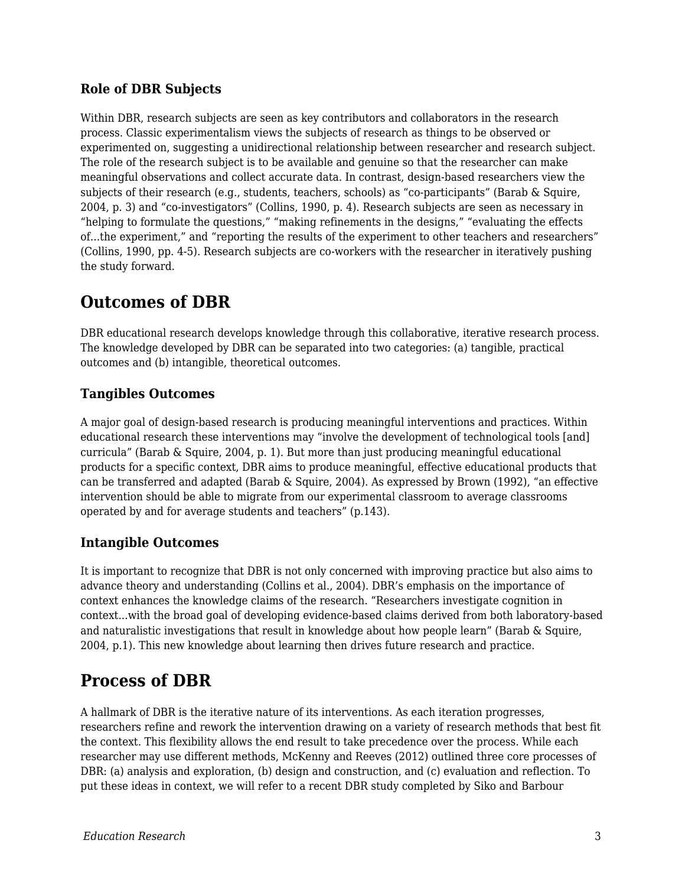#### **Role of DBR Subjects**

Within DBR, research subjects are seen as key contributors and collaborators in the research process. Classic experimentalism views the subjects of research as things to be observed or experimented on, suggesting a unidirectional relationship between researcher and research subject. The role of the research subject is to be available and genuine so that the researcher can make meaningful observations and collect accurate data. In contrast, design-based researchers view the subjects of their research (e.g., students, teachers, schools) as "co-participants" (Barab & Squire, 2004, p. 3) and "co-investigators" (Collins, 1990, p. 4). Research subjects are seen as necessary in "helping to formulate the questions," "making refinements in the designs," "evaluating the effects of...the experiment," and "reporting the results of the experiment to other teachers and researchers" (Collins, 1990, pp. 4-5). Research subjects are co-workers with the researcher in iteratively pushing the study forward.

## **Outcomes of DBR**

DBR educational research develops knowledge through this collaborative, iterative research process. The knowledge developed by DBR can be separated into two categories: (a) tangible, practical outcomes and (b) intangible, theoretical outcomes.

#### **Tangibles Outcomes**

A major goal of design-based research is producing meaningful interventions and practices. Within educational research these interventions may "involve the development of technological tools [and] curricula" (Barab & Squire, 2004, p. 1). But more than just producing meaningful educational products for a specific context, DBR aims to produce meaningful, effective educational products that can be transferred and adapted (Barab & Squire, 2004). As expressed by Brown (1992), "an effective intervention should be able to migrate from our experimental classroom to average classrooms operated by and for average students and teachers" (p.143).

#### **Intangible Outcomes**

It is important to recognize that DBR is not only concerned with improving practice but also aims to advance theory and understanding (Collins et al., 2004). DBR's emphasis on the importance of context enhances the knowledge claims of the research. "Researchers investigate cognition in context...with the broad goal of developing evidence-based claims derived from both laboratory-based and naturalistic investigations that result in knowledge about how people learn" (Barab & Squire, 2004, p.1). This new knowledge about learning then drives future research and practice.

# **Process of DBR**

A hallmark of DBR is the iterative nature of its interventions. As each iteration progresses, researchers refine and rework the intervention drawing on a variety of research methods that best fit the context. This flexibility allows the end result to take precedence over the process. While each researcher may use different methods, McKenny and Reeves (2012) outlined three core processes of DBR: (a) analysis and exploration, (b) design and construction, and (c) evaluation and reflection. To put these ideas in context, we will refer to a recent DBR study completed by Siko and Barbour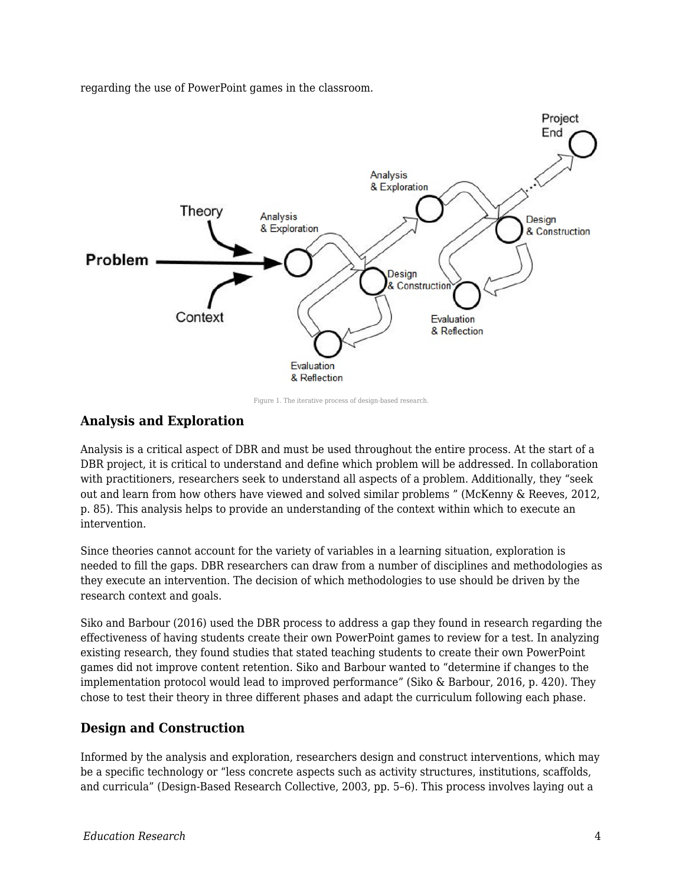regarding the use of PowerPoint games in the classroom.



Figure 1. The iterative process of design-based research.

#### **Analysis and Exploration**

Analysis is a critical aspect of DBR and must be used throughout the entire process. At the start of a DBR project, it is critical to understand and define which problem will be addressed. In collaboration with practitioners, researchers seek to understand all aspects of a problem. Additionally, they "seek out and learn from how others have viewed and solved similar problems " (McKenny & Reeves, 2012, p. 85). This analysis helps to provide an understanding of the context within which to execute an intervention.

Since theories cannot account for the variety of variables in a learning situation, exploration is needed to fill the gaps. DBR researchers can draw from a number of disciplines and methodologies as they execute an intervention. The decision of which methodologies to use should be driven by the research context and goals.

Siko and Barbour (2016) used the DBR process to address a gap they found in research regarding the effectiveness of having students create their own PowerPoint games to review for a test. In analyzing existing research, they found studies that stated teaching students to create their own PowerPoint games did not improve content retention. Siko and Barbour wanted to "determine if changes to the implementation protocol would lead to improved performance" (Siko & Barbour, 2016, p. 420). They chose to test their theory in three different phases and adapt the curriculum following each phase.

#### **Design and Construction**

Informed by the analysis and exploration, researchers design and construct interventions, which may be a specific technology or "less concrete aspects such as activity structures, institutions, scaffolds, and curricula" (Design-Based Research Collective, 2003, pp. 5–6). This process involves laying out a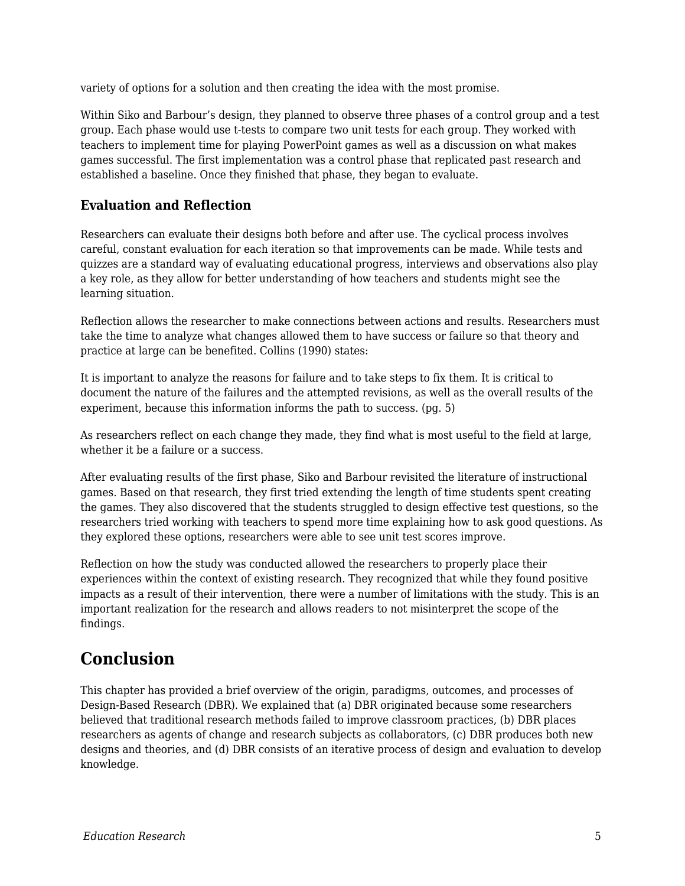variety of options for a solution and then creating the idea with the most promise.

Within Siko and Barbour's design, they planned to observe three phases of a control group and a test group. Each phase would use t-tests to compare two unit tests for each group. They worked with teachers to implement time for playing PowerPoint games as well as a discussion on what makes games successful. The first implementation was a control phase that replicated past research and established a baseline. Once they finished that phase, they began to evaluate.

#### **Evaluation and Reflection**

Researchers can evaluate their designs both before and after use. The cyclical process involves careful, constant evaluation for each iteration so that improvements can be made. While tests and quizzes are a standard way of evaluating educational progress, interviews and observations also play a key role, as they allow for better understanding of how teachers and students might see the learning situation.

Reflection allows the researcher to make connections between actions and results. Researchers must take the time to analyze what changes allowed them to have success or failure so that theory and practice at large can be benefited. Collins (1990) states:

It is important to analyze the reasons for failure and to take steps to fix them. It is critical to document the nature of the failures and the attempted revisions, as well as the overall results of the experiment, because this information informs the path to success. (pg. 5)

As researchers reflect on each change they made, they find what is most useful to the field at large, whether it be a failure or a success.

After evaluating results of the first phase, Siko and Barbour revisited the literature of instructional games. Based on that research, they first tried extending the length of time students spent creating the games. They also discovered that the students struggled to design effective test questions, so the researchers tried working with teachers to spend more time explaining how to ask good questions. As they explored these options, researchers were able to see unit test scores improve.

Reflection on how the study was conducted allowed the researchers to properly place their experiences within the context of existing research. They recognized that while they found positive impacts as a result of their intervention, there were a number of limitations with the study. This is an important realization for the research and allows readers to not misinterpret the scope of the findings.

# **Conclusion**

This chapter has provided a brief overview of the origin, paradigms, outcomes, and processes of Design-Based Research (DBR). We explained that (a) DBR originated because some researchers believed that traditional research methods failed to improve classroom practices, (b) DBR places researchers as agents of change and research subjects as collaborators, (c) DBR produces both new designs and theories, and (d) DBR consists of an iterative process of design and evaluation to develop knowledge.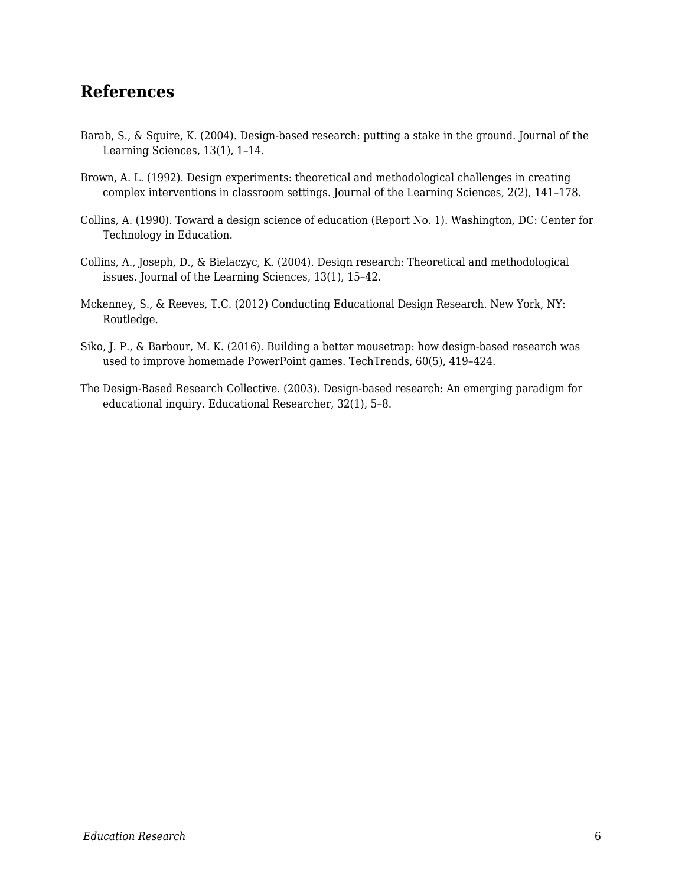### **References**

- Barab, S., & Squire, K. (2004). Design-based research: putting a stake in the ground. Journal of the Learning Sciences, 13(1), 1–14.
- Brown, A. L. (1992). Design experiments: theoretical and methodological challenges in creating complex interventions in classroom settings. Journal of the Learning Sciences, 2(2), 141–178.
- Collins, A. (1990). Toward a design science of education (Report No. 1). Washington, DC: Center for Technology in Education.
- Collins, A., Joseph, D., & Bielaczyc, K. (2004). Design research: Theoretical and methodological issues. Journal of the Learning Sciences, 13(1), 15–42.
- Mckenney, S., & Reeves, T.C. (2012) Conducting Educational Design Research. New York, NY: Routledge.
- Siko, J. P., & Barbour, M. K. (2016). Building a better mousetrap: how design-based research was used to improve homemade PowerPoint games. TechTrends, 60(5), 419–424.
- The Design-Based Research Collective. (2003). Design-based research: An emerging paradigm for educational inquiry. Educational Researcher, 32(1), 5–8.